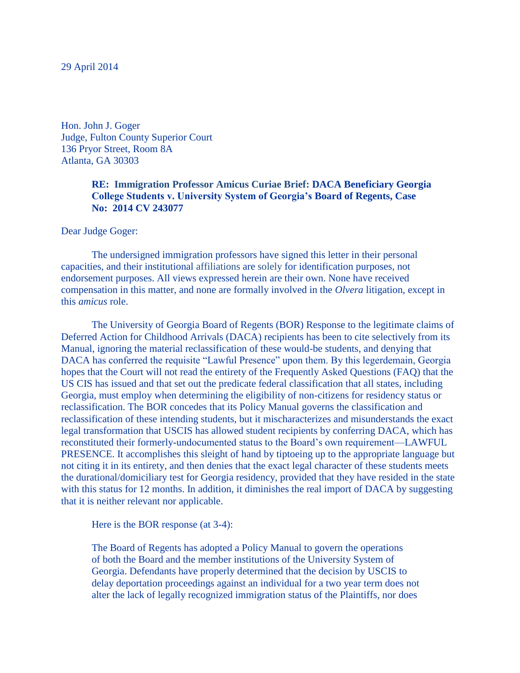Hon. John J. Goger Judge, Fulton County Superior Court 136 Pryor Street, Room 8A Atlanta, GA 30303

# **RE: Immigration Professor Amicus Curiae Brief: DACA Beneficiary Georgia College Students v. University System of Georgia's Board of Regents, Case No: 2014 CV 243077**

#### Dear Judge Goger:

The undersigned immigration professors have signed this letter in their personal capacities, and their institutional affiliations are solely for identification purposes, not endorsement purposes. All views expressed herein are their own. None have received compensation in this matter, and none are formally involved in the *Olvera* litigation, except in this *amicus* role.

The University of Georgia Board of Regents (BOR) Response to the legitimate claims of Deferred Action for Childhood Arrivals (DACA) recipients has been to cite selectively from its Manual, ignoring the material reclassification of these would-be students, and denying that DACA has conferred the requisite "Lawful Presence" upon them. By this legerdemain, Georgia hopes that the Court will not read the entirety of the Frequently Asked Questions (FAQ) that the US CIS has issued and that set out the predicate federal classification that all states, including Georgia, must employ when determining the eligibility of non-citizens for residency status or reclassification. The BOR concedes that its Policy Manual governs the classification and reclassification of these intending students, but it mischaracterizes and misunderstands the exact legal transformation that USCIS has allowed student recipients by conferring DACA, which has reconstituted their formerly-undocumented status to the Board's own requirement—LAWFUL PRESENCE. It accomplishes this sleight of hand by tiptoeing up to the appropriate language but not citing it in its entirety, and then denies that the exact legal character of these students meets the durational/domiciliary test for Georgia residency, provided that they have resided in the state with this status for 12 months. In addition, it diminishes the real import of DACA by suggesting that it is neither relevant nor applicable.

Here is the BOR response (at 3-4):

The Board of Regents has adopted a Policy Manual to govern the operations of both the Board and the member institutions of the University System of Georgia. Defendants have properly determined that the decision by USCIS to delay deportation proceedings against an individual for a two year term does not alter the lack of legally recognized immigration status of the Plaintiffs, nor does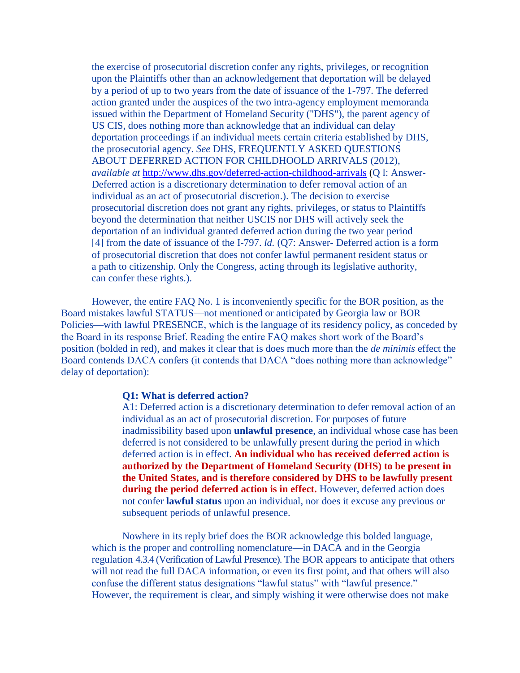the exercise of prosecutorial discretion confer any rights, privileges, or recognition upon the Plaintiffs other than an acknowledgement that deportation will be delayed by a period of up to two years from the date of issuance of the 1-797. The deferred action granted under the auspices of the two intra-agency employment memoranda issued within the Department of Homeland Security ("DHS"), the parent agency of US CIS, does nothing more than acknowledge that an individual can delay deportation proceedings if an individual meets certain criteria established by DHS, the prosecutorial agency. *See* DHS, FREQUENTLY ASKED QUESTIONS ABOUT DEFERRED ACTION FOR CHILDHOOLD ARRIVALS (2012), *available at* <http://www.dhs.gov/deferred-action-childhood-arrivals> (Q l: Answer-Deferred action is a discretionary determination to defer removal action of an individual as an act of prosecutorial discretion.). The decision to exercise prosecutorial discretion does not grant any rights, privileges, or status to Plaintiffs beyond the determination that neither USCIS nor DHS will actively seek the deportation of an individual granted deferred action during the two year period [4] from the date of issuance of the I-797. *ld.* (Q7: Answer- Deferred action is a form of prosecutorial discretion that does not confer lawful permanent resident status or a path to citizenship. Only the Congress, acting through its legislative authority, can confer these rights.).

However, the entire FAQ No. 1 is inconveniently specific for the BOR position, as the Board mistakes lawful STATUS—not mentioned or anticipated by Georgia law or BOR Policies—with lawful PRESENCE, which is the language of its residency policy, as conceded by the Board in its response Brief. Reading the entire FAQ makes short work of the Board's position (bolded in red), and makes it clear that is does much more than the *de minimis* effect the Board contends DACA confers (it contends that DACA "does nothing more than acknowledge" delay of deportation):

#### **Q1: What is deferred action?**

A1: Deferred action is a discretionary determination to defer removal action of an individual as an act of prosecutorial discretion. For purposes of future inadmissibility based upon **unlawful presence**, an individual whose case has been deferred is not considered to be unlawfully present during the period in which deferred action is in effect. **An individual who has received deferred action is authorized by the Department of Homeland Security (DHS) to be present in the United States, and is therefore considered by DHS to be lawfully present**  during the period deferred action is in effect. However, deferred action does not confer **lawful status** upon an individual, nor does it excuse any previous or subsequent periods of unlawful presence.

Nowhere in its reply brief does the BOR acknowledge this bolded language, which is the proper and controlling nomenclature—in DACA and in the Georgia regulation 4.3.4 (Verification of Lawful Presence). The BOR appears to anticipate that others will not read the full DACA information, or even its first point, and that others will also confuse the different status designations "lawful status" with "lawful presence." However, the requirement is clear, and simply wishing it were otherwise does not make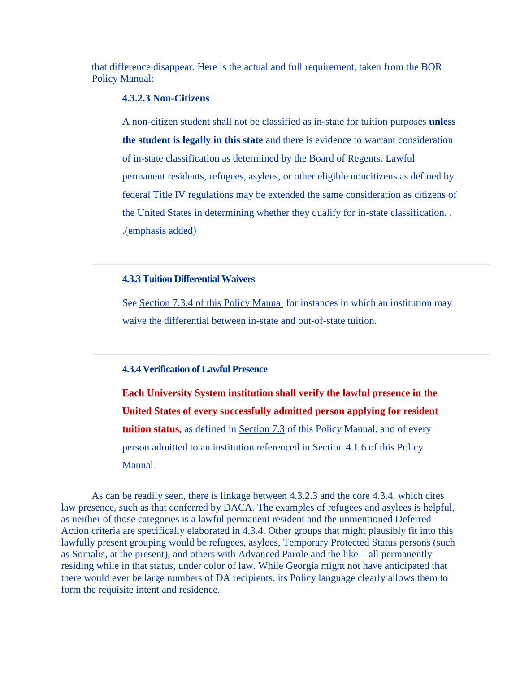that difference disappear. Here is the actual and full requirement, taken from the BOR Policy Manual:

# **4.3.2.3 Non-Citizens**

A non-citizen student shall not be classified as in-state for tuition purposes **unless the student is legally in this state** and there is evidence to warrant consideration of in-state classification as determined by the Board of Regents. Lawful permanent residents, refugees, asylees, or other eligible noncitizens as defined by federal Title IV regulations may be extended the same consideration as citizens of the United States in determining whether they qualify for in-state classification. . .(emphasis added)

### **4.3.3 Tuition Differential Waivers**

See Section 7.3.4 of [this Policy Manual](http://www.usg.edu/policymanual/section7/C453/) for instances in which an institution may waive the differential between in-state and out-of-state tuition.

## **4.3.4 Verification of Lawful Presence**

**Each University System institution shall verify the lawful presence in the United States of every successfully admitted person applying for resident tuition status,** as defined in [Section 7.3](http://www.usg.edu/policymanual/section7/C453/) of this Policy Manual, and of every person admitted to an institution referenced in [Section 4.1.6](http://www.usg.edu/policymanual/section4/C327/#p4.1.6_admission_of_persons_not_lawfully_present_in_the_united_states) of this Policy Manual.

As can be readily seen, there is linkage between 4.3.2.3 and the core 4.3.4, which cites law presence, such as that conferred by DACA. The examples of refugees and asylees is helpful, as neither of those categories is a lawful permanent resident and the unmentioned Deferred Action criteria are specifically elaborated in 4.3.4. Other groups that might plausibly fit into this lawfully present grouping would be refugees, asylees, Temporary Protected Status persons (such as Somalis, at the present), and others with Advanced Parole and the like—all permanently residing while in that status, under color of law. While Georgia might not have anticipated that there would ever be large numbers of DA recipients, its Policy language clearly allows them to form the requisite intent and residence.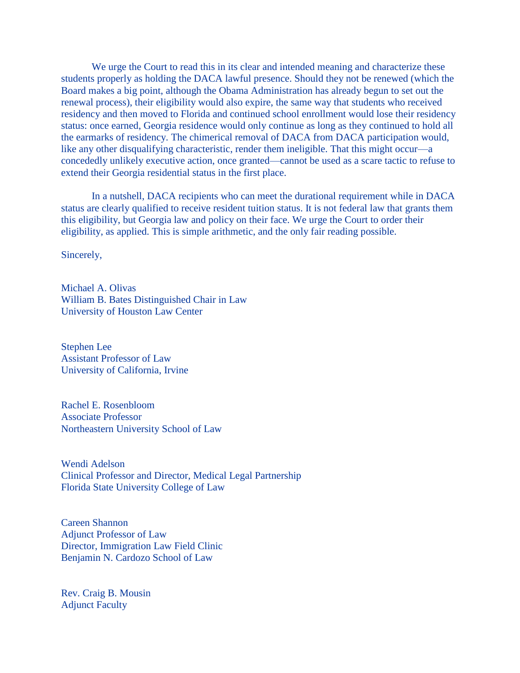We urge the Court to read this in its clear and intended meaning and characterize these students properly as holding the DACA lawful presence. Should they not be renewed (which the Board makes a big point, although the Obama Administration has already begun to set out the renewal process), their eligibility would also expire, the same way that students who received residency and then moved to Florida and continued school enrollment would lose their residency status: once earned, Georgia residence would only continue as long as they continued to hold all the earmarks of residency. The chimerical removal of DACA from DACA participation would, like any other disqualifying characteristic, render them ineligible. That this might occur—a concededly unlikely executive action, once granted—cannot be used as a scare tactic to refuse to extend their Georgia residential status in the first place.

In a nutshell, DACA recipients who can meet the durational requirement while in DACA status are clearly qualified to receive resident tuition status. It is not federal law that grants them this eligibility, but Georgia law and policy on their face. We urge the Court to order their eligibility, as applied. This is simple arithmetic, and the only fair reading possible.

Sincerely,

Michael A. Olivas William B. Bates Distinguished Chair in Law University of Houston Law Center

Stephen Lee Assistant Professor of Law University of California, Irvine

Rachel E. Rosenbloom Associate Professor Northeastern University School of Law

Wendi Adelson Clinical Professor and Director, Medical Legal Partnership Florida State University College of Law

Careen Shannon Adjunct Professor of Law Director, Immigration Law Field Clinic Benjamin N. Cardozo School of Law

Rev. Craig B. Mousin Adjunct Faculty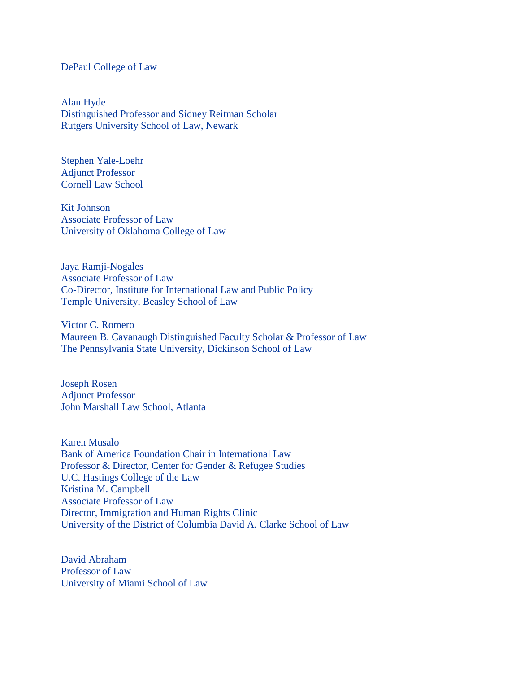#### DePaul College of Law

Alan Hyde Distinguished Professor and Sidney Reitman Scholar Rutgers University School of Law, Newark

Stephen Yale-Loehr Adjunct Professor Cornell Law School

Kit Johnson Associate Professor of Law University of Oklahoma College of Law

Jaya Ramji-Nogales Associate Professor of Law Co-Director, Institute for International Law and Public Policy Temple University, Beasley School of Law

Victor C. Romero Maureen B. Cavanaugh Distinguished Faculty Scholar & Professor of Law The Pennsylvania State University, Dickinson School of Law

Joseph Rosen Adjunct Professor John Marshall Law School, Atlanta

Karen Musalo Bank of America Foundation Chair in International Law Professor & Director, Center for Gender & Refugee Studies U.C. Hastings College of the Law Kristina M. Campbell Associate Professor of Law Director, Immigration and Human Rights Clinic University of the District of Columbia David A. Clarke School of Law

David Abraham Professor of Law University of Miami School of Law